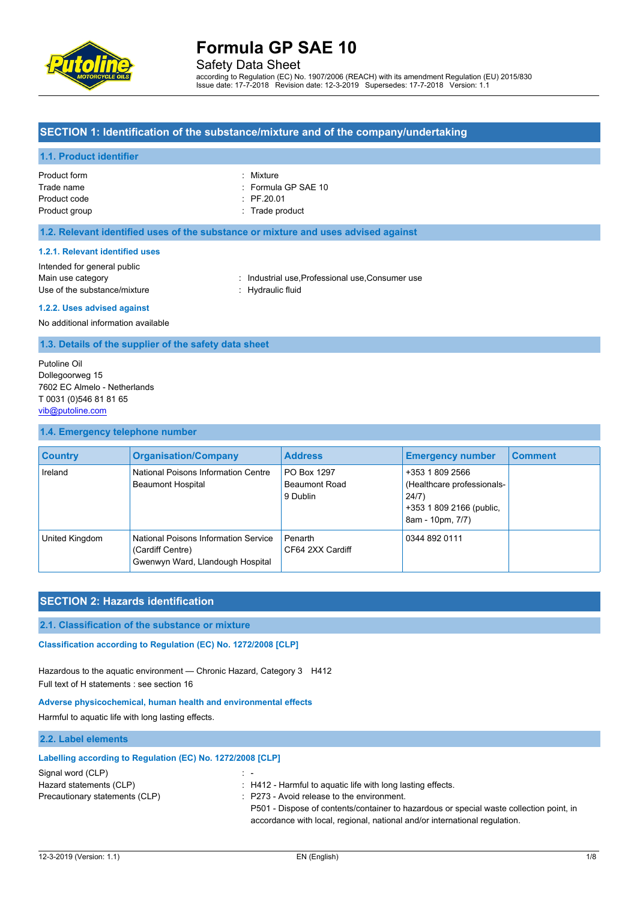

Safety Data Sheet

according to Regulation (EC) No. 1907/2006 (REACH) with its amendment Regulation (EU) 2015/830 Issue date: 17-7-2018 Revision date: 12-3-2019 Supersedes: 17-7-2018 Version: 1.1

### **SECTION 1: Identification of the substance/mixture and of the company/undertaking**

#### **1.1. Product identifier**

| Product form  | : Mixture                      |
|---------------|--------------------------------|
| Trade name    | $\therefore$ Formula GP SAE 10 |
| Product code  | $\div$ PF.20.01                |
| Product group | : Trade product                |

| ÷. | Mixture           |
|----|-------------------|
| ۰. | Formula GP SAE 1  |
| ۰. | PF.20.01          |
|    | $:$ Trade product |

#### **1.2. Relevant identified uses of the substance or mixture and uses advised against**

#### **1.2.1. Relevant identified uses**

Intended for general public Main use category **industrial use, Professional use, Consumer use** in Main use category Use of the substance/mixture : Hydraulic fluid

#### **1.2.2. Uses advised against**

No additional information available

**1.3. Details of the supplier of the safety data sheet**

Putoline Oil Dollegoorweg 15 7602 EC Almelo - Netherlands T 0031 (0)546 81 81 65 [vib@putoline.com](mailto:vib@putoline.com)

#### **1.4. Emergency telephone number**

| <b>Country</b> | <b>Organisation/Company</b>                                                                  | <b>Address</b>                           | <b>Emergency number</b>                                                                                | <b>Comment</b> |
|----------------|----------------------------------------------------------------------------------------------|------------------------------------------|--------------------------------------------------------------------------------------------------------|----------------|
| Ireland        | National Poisons Information Centre<br><b>Beaumont Hospital</b>                              | PO Box 1297<br>Beaumont Road<br>9 Dublin | +353 1 809 2566<br>(Healthcare professionals-<br>24/7)<br>+353 1 809 2166 (public,<br>8am - 10pm, 7/7) |                |
| United Kingdom | National Poisons Information Service<br>(Cardiff Centre)<br>Gwenwyn Ward, Llandough Hospital | Penarth<br>CF64 2XX Cardiff              | 0344 892 0111                                                                                          |                |

### **SECTION 2: Hazards identification**

#### **2.1. Classification of the substance or mixture**

Classification according to Regulation (EC) No. 1272/2008 [CLP]

Hazardous to the aquatic environment — Chronic Hazard, Category 3 H412 Full text of H statements : see section 16

#### **Adverse physicochemical, human health and environmental effects**

**Labelling according to Regulation (EC) No. 1272/2008 [CLP]**

Harmful to aquatic life with long lasting effects.

#### **2.2. Label elements**

| Signal word (CLP)              |                                                                                         |  |
|--------------------------------|-----------------------------------------------------------------------------------------|--|
| Hazard statements (CLP)        | : H412 - Harmful to aguatic life with long lasting effects.                             |  |
| Precautionary statements (CLP) | $\therefore$ P273 - Avoid release to the environment.                                   |  |
|                                | P501 - Dispose of contents/container to hazardous or special waste collection point, in |  |
|                                | accordance with local, regional, national and/or international regulation.              |  |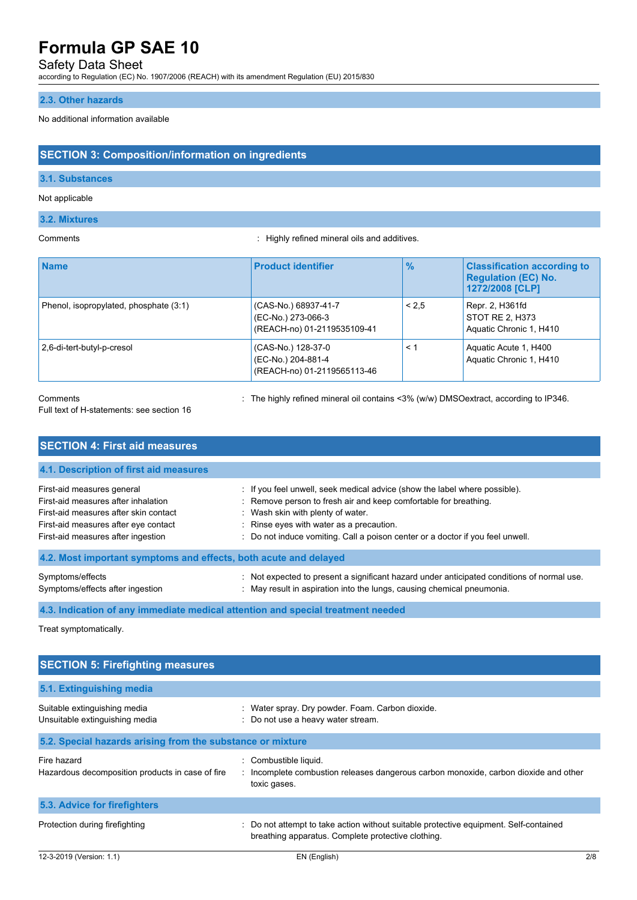# Safety Data Sheet

according to Regulation (EC) No. 1907/2006 (REACH) with its amendment Regulation (EU) 2015/830

### **2.3. Other hazards**

No additional information available

### **SECTION 3: Composition/information on ingredients**

#### **3.1. Substances**

#### Not applicable

#### **3.2. Mixtures**

Comments : Highly refined mineral oils and additives.

| <b>Name</b>                            | <b>Product identifier</b>                                                 | $\frac{9}{6}$ | <b>Classification according to</b><br><b>Regulation (EC) No.</b><br>1272/2008 [CLP] |
|----------------------------------------|---------------------------------------------------------------------------|---------------|-------------------------------------------------------------------------------------|
| Phenol, isopropylated, phosphate (3:1) | (CAS-No.) 68937-41-7<br>(EC-No.) 273-066-3<br>(REACH-no) 01-2119535109-41 | < 2.5         | Repr. 2, H361fd<br>STOT RE 2, H373<br>Aquatic Chronic 1, H410                       |
| 2,6-di-tert-butyl-p-cresol             | (CAS-No.) 128-37-0<br>(EC-No.) 204-881-4<br>(REACH-no) 01-2119565113-46   | $\leq 1$      | Aquatic Acute 1, H400<br>Aquatic Chronic 1, H410                                    |

#### Comments : The highly refined mineral oil contains <3% (w/w) DMSOextract, according to IP346.

Full text of H-statements: see section 16

| <b>SECTION 4: First aid measures</b>                                                                                                                                                     |                                                                                                                                                                                                                                                                                                                   |
|------------------------------------------------------------------------------------------------------------------------------------------------------------------------------------------|-------------------------------------------------------------------------------------------------------------------------------------------------------------------------------------------------------------------------------------------------------------------------------------------------------------------|
| 4.1. Description of first aid measures                                                                                                                                                   |                                                                                                                                                                                                                                                                                                                   |
| First-aid measures general<br>First-aid measures after inhalation<br>First-aid measures after skin contact<br>First-aid measures after eye contact<br>First-aid measures after ingestion | : If you feel unwell, seek medical advice (show the label where possible).<br>: Remove person to fresh air and keep comfortable for breathing.<br>: Wash skin with plenty of water.<br>: Rinse eyes with water as a precaution.<br>: Do not induce vomiting. Call a poison center or a doctor if you feel unwell. |
| 4.2. Most important symptoms and effects, both acute and delayed                                                                                                                         |                                                                                                                                                                                                                                                                                                                   |
| Symptoms/effects<br>Symptoms/effects after ingestion                                                                                                                                     | : Not expected to present a significant hazard under anticipated conditions of normal use.<br>: May result in aspiration into the lungs, causing chemical pneumonia.                                                                                                                                              |

#### **4.3. Indication of any immediate medical attention and special treatment needed**

Treat symptomatically.

| <b>SECTION 5: Firefighting measures</b>                         |                                                                                                                                             |     |
|-----------------------------------------------------------------|---------------------------------------------------------------------------------------------------------------------------------------------|-----|
| 5.1. Extinguishing media                                        |                                                                                                                                             |     |
| Suitable extinguishing media<br>Unsuitable extinguishing media  | : Water spray. Dry powder. Foam. Carbon dioxide.<br>: Do not use a heavy water stream.                                                      |     |
| 5.2. Special hazards arising from the substance or mixture      |                                                                                                                                             |     |
| Fire hazard<br>Hazardous decomposition products in case of fire | : Combustible liquid.<br>: Incomplete combustion releases dangerous carbon monoxide, carbon dioxide and other<br>toxic gases.               |     |
| 5.3. Advice for firefighters                                    |                                                                                                                                             |     |
| Protection during firefighting                                  | : Do not attempt to take action without suitable protective equipment. Self-contained<br>breathing apparatus. Complete protective clothing. |     |
| 12-3-2019 (Version: 1.1)                                        | EN (English)                                                                                                                                | 2/8 |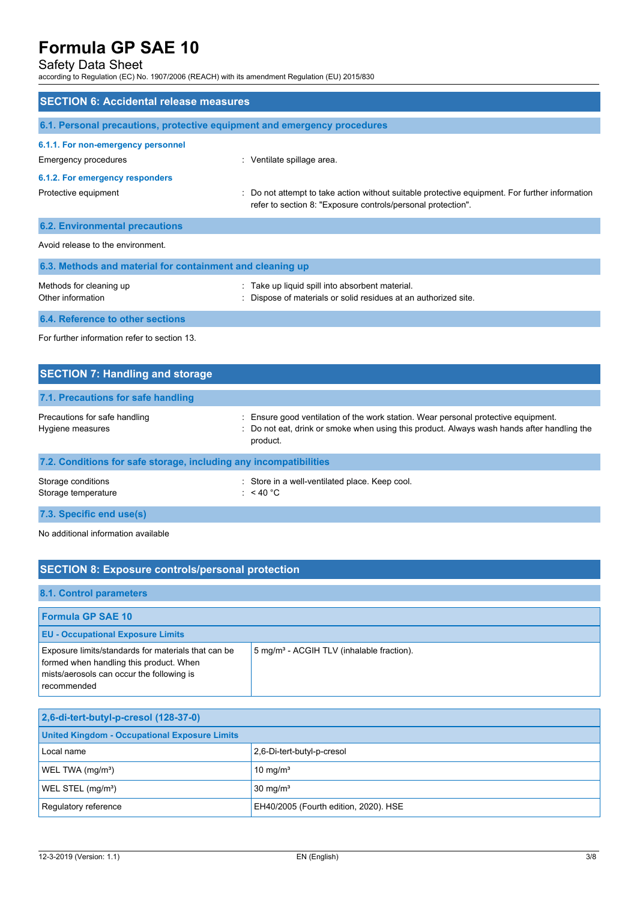# Safety Data Sheet

according to Regulation (EC) No. 1907/2006 (REACH) with its amendment Regulation (EU) 2015/830

| <b>SECTION 6: Accidental release measures</b>                            |                                                                                                                                                              |  |  |
|--------------------------------------------------------------------------|--------------------------------------------------------------------------------------------------------------------------------------------------------------|--|--|
| 6.1. Personal precautions, protective equipment and emergency procedures |                                                                                                                                                              |  |  |
| 6.1.1. For non-emergency personnel<br>Emergency procedures               | : Ventilate spillage area.                                                                                                                                   |  |  |
| 6.1.2. For emergency responders<br>Protective equipment                  | Do not attempt to take action without suitable protective equipment. For further information<br>refer to section 8: "Exposure controls/personal protection". |  |  |
| <b>6.2. Environmental precautions</b>                                    |                                                                                                                                                              |  |  |
| Avoid release to the environment.                                        |                                                                                                                                                              |  |  |
| 6.3. Methods and material for containment and cleaning up                |                                                                                                                                                              |  |  |
| Methods for cleaning up<br>Other information                             | Take up liquid spill into absorbent material.<br>Dispose of materials or solid residues at an authorized site.                                               |  |  |
| 6.4. Reference to other sections                                         |                                                                                                                                                              |  |  |
| For further information refer to section 13.                             |                                                                                                                                                              |  |  |
| <b>SECTION 7: Handling and storage</b>                                   |                                                                                                                                                              |  |  |

| 7.1. Precautions for safe handling                                |                                                                                                                                                                                            |
|-------------------------------------------------------------------|--------------------------------------------------------------------------------------------------------------------------------------------------------------------------------------------|
| Precautions for safe handling<br>Hygiene measures                 | Ensure good ventilation of the work station. Wear personal protective equipment.<br>: Do not eat, drink or smoke when using this product. Always wash hands after handling the<br>product. |
| 7.2. Conditions for safe storage, including any incompatibilities |                                                                                                                                                                                            |
| Storage conditions<br>Storage temperature                         | : Store in a well-ventilated place. Keep cool.<br>: $<$ 40 °C                                                                                                                              |

**7.3. Specific end use(s)**

No additional information available

# **SECTION 8: Exposure controls/personal protection**

#### **8.1. Control parameters**

| <b>Formula GP SAE 10</b>                                                                                                                                          |                                                       |
|-------------------------------------------------------------------------------------------------------------------------------------------------------------------|-------------------------------------------------------|
| <b>EU - Occupational Exposure Limits</b>                                                                                                                          |                                                       |
| <b>Exposure limits/standards for materials that can be</b><br>formed when handling this product. When<br>mists/aerosols can occur the following is<br>recommended | 5 mg/m <sup>3</sup> - ACGIH TLV (inhalable fraction). |

| 2,6-di-tert-butyl-p-cresol (128-37-0)                |                                       |  |
|------------------------------------------------------|---------------------------------------|--|
| <b>United Kingdom - Occupational Exposure Limits</b> |                                       |  |
| Local name                                           | 2,6-Di-tert-butyl-p-cresol            |  |
| WEL TWA (mg/m <sup>3</sup> )<br>10 mg/ $m3$          |                                       |  |
| WEL STEL (mg/m <sup>3</sup> )                        | $30 \text{ mg/m}^3$                   |  |
| Requiatory reference                                 | EH40/2005 (Fourth edition, 2020). HSE |  |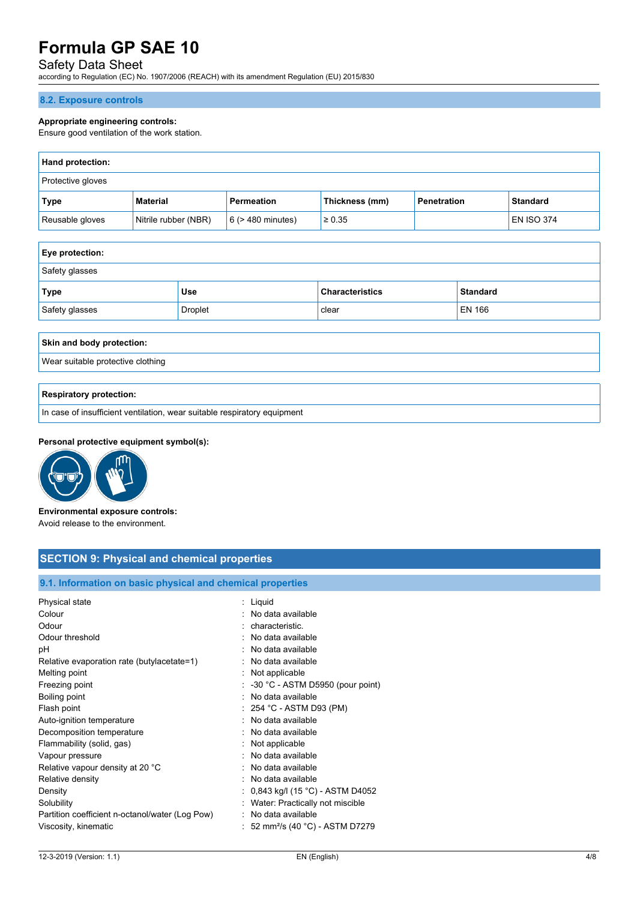# Safety Data Sheet

according to Regulation (EC) No. 1907/2006 (REACH) with its amendment Regulation (EU) 2015/830

#### **8.2. Exposure controls**

#### **Appropriate engineering controls:**

Ensure good ventilation of the work station.

| <b>Hand protection:</b>  |                      |                        |                |                    |                   |
|--------------------------|----------------------|------------------------|----------------|--------------------|-------------------|
| <b>Protective gloves</b> |                      |                        |                |                    |                   |
| Type                     | Material             | Permeation             | Thickness (mm) | <b>Penetration</b> | <b>Standard</b>   |
| Reusable gloves          | Nitrile rubber (NBR) | $6$ ( $>$ 480 minutes) | $\geq 0.35$    |                    | <b>EN ISO 374</b> |

| <b>Eye protection:</b>                              |     |                        |                 |  |  |
|-----------------------------------------------------|-----|------------------------|-----------------|--|--|
| Safety glasses                                      |     |                        |                 |  |  |
| Type                                                | Use | <b>Characteristics</b> | <b>Standard</b> |  |  |
| Droplet<br><b>EN 166</b><br>Safety glasses<br>clear |     |                        |                 |  |  |

#### **Skin and body protection:**

Wear suitable protective clothing

#### **Respiratory protection:**

In case of insufficient ventilation, wear suitable respiratory equipment

#### **Personal protective equipment symbol(s):**



# **Environmental exposure controls:**

Avoid release to the environment.

# **SECTION 9: Physical and chemical properties**

### **9.1. Information on basic physical and chemical properties**

| Physical state<br>Colour<br>Odour<br>Odour threshold<br>рH<br>Relative evaporation rate (butylacetate=1)<br>Melting point<br>Freezing point<br>Boiling point<br>Flash point<br>Auto-ignition temperature<br>Decomposition temperature<br>Flammability (solid, gas)<br>Vapour pressure<br>Relative vapour density at 20 °C<br>Relative density<br>Density<br>Solubility<br>Partition coefficient n-octanol/water (Log Pow) | : Liquid<br>· No data available<br>: characteristic.<br>: No data available<br>: No data available<br>: No data available<br>: Not applicable<br>$\therefore$ -30 °C - ASTM D5950 (pour point)<br>: No data available<br>$: 254 °C$ - ASTM D93 (PM)<br>: No data available<br>: No data available<br>: Not applicable<br>: No data available<br>: No data available<br>: No data available<br>0,843 kg/l (15 °C) - ASTM D4052<br>Water: Practically not miscible<br>No data available |
|---------------------------------------------------------------------------------------------------------------------------------------------------------------------------------------------------------------------------------------------------------------------------------------------------------------------------------------------------------------------------------------------------------------------------|---------------------------------------------------------------------------------------------------------------------------------------------------------------------------------------------------------------------------------------------------------------------------------------------------------------------------------------------------------------------------------------------------------------------------------------------------------------------------------------|
| Viscosity, kinematic                                                                                                                                                                                                                                                                                                                                                                                                      | : 52 mm <sup>2</sup> /s (40 °C) - ASTM D7279                                                                                                                                                                                                                                                                                                                                                                                                                                          |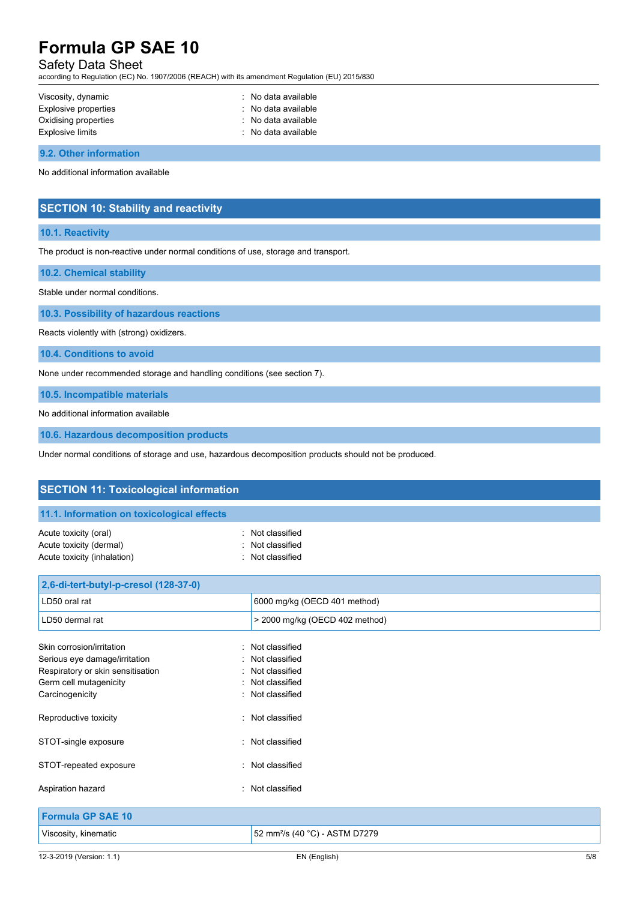# Safety Data Sheet

according to Regulation (EC) No. 1907/2006 (REACH) with its amendment Regulation (EU) 2015/830

| Viscosity, dynamic   | $\therefore$ No data available |
|----------------------|--------------------------------|
| Explosive properties | $\therefore$ No data available |
| Oxidising properties | : No data available            |
| Explosive limits     | $\therefore$ No data available |

**9.2. Other information**

No additional information available

# **SECTION 10: Stability and reactivity**

#### **10.1. Reactivity**

The product is non-reactive under normal conditions of use, storage and transport.

**10.2. Chemical stability**

Stable under normal conditions.

**10.3. Possibility of hazardous reactions**

Reacts violently with (strong) oxidizers.

**10.4. Conditions to avoid**

None under recommended storage and handling conditions (see section 7).

**10.5. Incompatible materials**

No additional information available

**10.6. Hazardous decomposition products**

Under normal conditions of storage and use, hazardous decomposition products should not be produced.

| <b>SECTION 11: Toxicological information</b>                                                                                                 |                                                                                          |  |  |  |
|----------------------------------------------------------------------------------------------------------------------------------------------|------------------------------------------------------------------------------------------|--|--|--|
| 11.1. Information on toxicological effects                                                                                                   |                                                                                          |  |  |  |
| Acute toxicity (oral)<br>Acute toxicity (dermal)<br>Acute toxicity (inhalation)                                                              | Not classified<br>Not classified<br>Not classified                                       |  |  |  |
| 2,6-di-tert-butyl-p-cresol (128-37-0)                                                                                                        |                                                                                          |  |  |  |
| LD50 oral rat                                                                                                                                | 6000 mg/kg (OECD 401 method)                                                             |  |  |  |
| LD50 dermal rat                                                                                                                              | > 2000 mg/kg (OECD 402 method)                                                           |  |  |  |
| Skin corrosion/irritation<br>Serious eye damage/irritation<br>Respiratory or skin sensitisation<br>Germ cell mutagenicity<br>Carcinogenicity | Not classified<br>Not classified<br>Not classified<br>: Not classified<br>Not classified |  |  |  |
| Reproductive toxicity                                                                                                                        | Not classified<br>٠                                                                      |  |  |  |
| STOT-single exposure                                                                                                                         | : Not classified                                                                         |  |  |  |
| STOT-repeated exposure                                                                                                                       | Not classified                                                                           |  |  |  |
| Aspiration hazard                                                                                                                            | Not classified                                                                           |  |  |  |
| <b>Formula GP SAE 10</b>                                                                                                                     |                                                                                          |  |  |  |
| Viscosity, kinematic                                                                                                                         | 52 mm <sup>2</sup> /s (40 °C) - ASTM D7279                                               |  |  |  |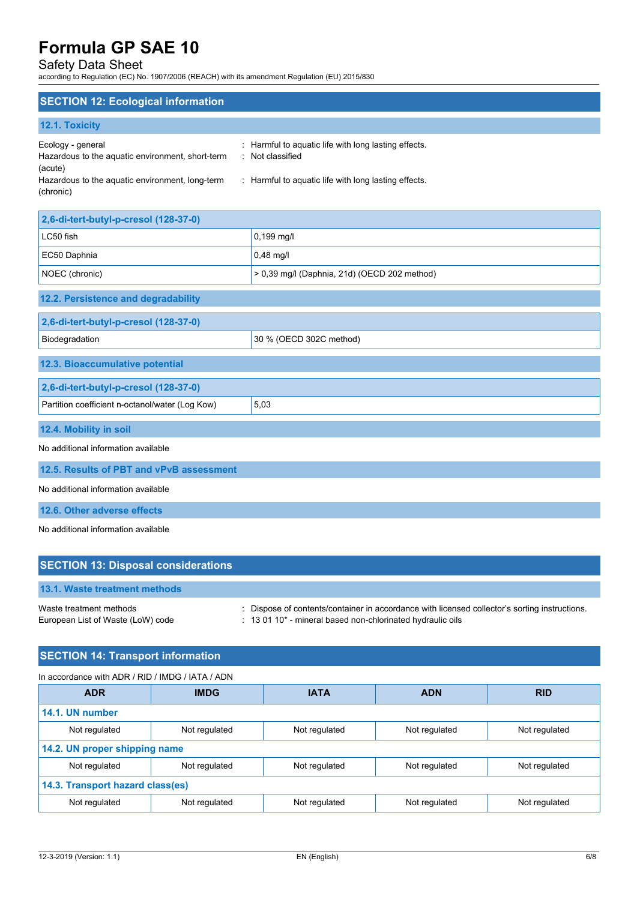# Safety Data Sheet

according to Regulation (EC) No. 1907/2006 (REACH) with its amendment Regulation (EU) 2015/830

### **SECTION 12: Ecological information**

|  |  | 12.1. Toxicity |  |
|--|--|----------------|--|
|  |  |                |  |

| Ecology - general                                | : Harmful to aguatic life with long lasting effects. |
|--------------------------------------------------|------------------------------------------------------|
| Hazardous to the aquatic environment, short-term | : Not classified                                     |
| (acute)                                          |                                                      |
| Hazardous to the aquatic environment, long-term  | : Harmful to aguatic life with long lasting effects. |
| (chronic)                                        |                                                      |

| 2,6-di-tert-butyl-p-cresol (128-37-0)                            |                      |  |
|------------------------------------------------------------------|----------------------|--|
| LC50 fish                                                        | $0,199 \text{ mq/l}$ |  |
| EC50 Daphnia                                                     | $0,48$ mg/l          |  |
| $> 0.39$ mg/l (Daphnia, 21d) (OECD 202 method)<br>NOEC (chronic) |                      |  |

| 12.2. Persistence and degradability                     |                         |  |  |
|---------------------------------------------------------|-------------------------|--|--|
| 2,6-di-tert-butyl-p-cresol (128-37-0)                   |                         |  |  |
| Biodegradation                                          | 30 % (OECD 302C method) |  |  |
| 12.3. Bioaccumulative potential                         |                         |  |  |
| 2,6-di-tert-butyl-p-cresol (128-37-0)                   |                         |  |  |
| 5,03<br>Partition coefficient n-octanol/water (Log Kow) |                         |  |  |
| 12.4. Mobility in soil                                  |                         |  |  |

No additional information available

**12.5. Results of PBT and vPvB assessment**

No additional information available

**12.6. Other adverse effects**

No additional information available

| <b>SECTION 13: Disposal considerations</b>                   |                                                                                                                                                             |
|--------------------------------------------------------------|-------------------------------------------------------------------------------------------------------------------------------------------------------------|
| 13.1. Waste treatment methods                                |                                                                                                                                                             |
| Waste treatment methods<br>European List of Waste (LoW) code | : Dispose of contents/container in accordance with licensed collector's sorting instructions.<br>: 13 01 10* - mineral based non-chlorinated hydraulic oils |

# **SECTION 14: Transport information**

#### In accordance with ADR / RID / IMDG / IATA / ADN

| <b>ADR</b>                       | <b>IMDG</b>                   | <b>IATA</b>   | <b>ADN</b>    | <b>RID</b>    |  |  |
|----------------------------------|-------------------------------|---------------|---------------|---------------|--|--|
| 14.1. UN number                  |                               |               |               |               |  |  |
| Not regulated                    | Not regulated                 | Not regulated | Not regulated | Not regulated |  |  |
|                                  | 14.2. UN proper shipping name |               |               |               |  |  |
| Not regulated                    | Not regulated                 | Not regulated | Not regulated | Not regulated |  |  |
| 14.3. Transport hazard class(es) |                               |               |               |               |  |  |
| Not regulated                    | Not regulated                 | Not regulated | Not regulated | Not regulated |  |  |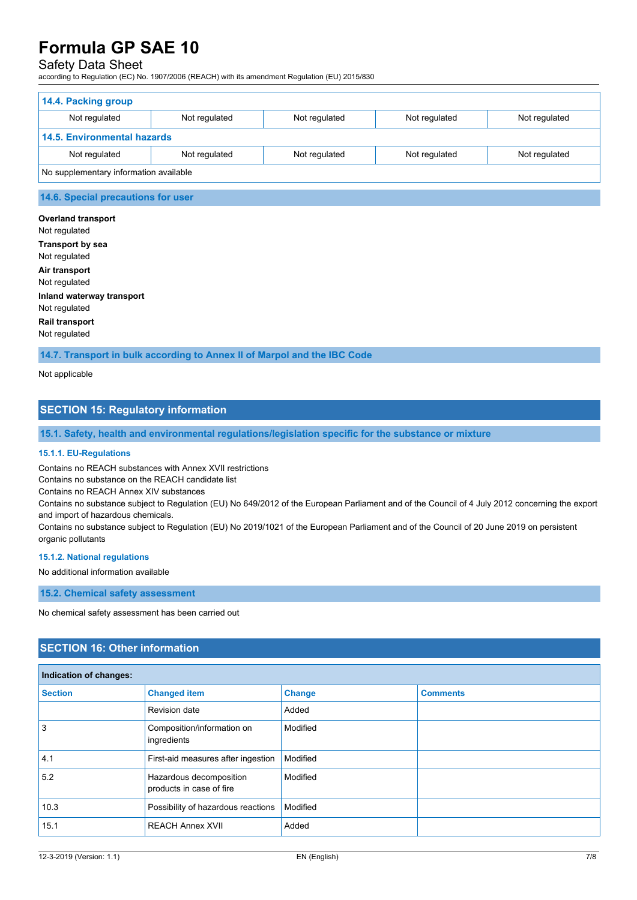# Safety Data Sheet

according to Regulation (EC) No. 1907/2006 (REACH) with its amendment Regulation (EU) 2015/830

| 14.4. Packing group                    |               |               |               |               |
|----------------------------------------|---------------|---------------|---------------|---------------|
| Not regulated                          | Not regulated | Not regulated | Not regulated | Not regulated |
| <b>14.5. Environmental hazards</b>     |               |               |               |               |
| Not regulated                          | Not regulated | Not regulated | Not regulated | Not regulated |
| No supplementary information available |               |               |               |               |

### **14.6. Special precautions for user**

**Overland transport** Not regulated **Transport by sea** Not regulated **Air transport** Not regulated **Inland waterway transport** Not regulated **Rail transport** Not regulated

**14.7. Transport in bulk according to Annex II of Marpol and the IBC Code**

Not applicable

# **SECTION 15: Regulatory information**

**15.1. Safety, health and environmental regulations/legislation specific for the substance or mixture**

#### **15.1.1. EU-Regulations**

Contains no REACH substances with Annex XVII restrictions

Contains no substance on the REACH candidate list

Contains no REACH Annex XIV substances

Contains no substance subject to Regulation (EU) No 649/2012 of the European Parliament and of the Council of 4 July 2012 concerning the export and import of hazardous chemicals.

Contains no substance subject to Regulation (EU) No 2019/1021 of the European Parliament and of the Council of 20 June 2019 on persistent organic pollutants

#### **15.1.2. National regulations**

No additional information available

#### **15.2. Chemical safety assessment**

No chemical safety assessment has been carried out

# **SECTION 16: Other information**

| Indication of changes: |                                                     |               |                 |
|------------------------|-----------------------------------------------------|---------------|-----------------|
| <b>Section</b>         | <b>Changed item</b>                                 | <b>Change</b> | <b>Comments</b> |
|                        | Revision date                                       | Added         |                 |
| 3                      | Composition/information on<br>ingredients           | Modified      |                 |
| 4.1                    | First-aid measures after ingestion                  | Modified      |                 |
| 5.2                    | Hazardous decomposition<br>products in case of fire | Modified      |                 |
| 10.3                   | Possibility of hazardous reactions                  | Modified      |                 |
| 15.1                   | <b>REACH Annex XVII</b>                             | Added         |                 |